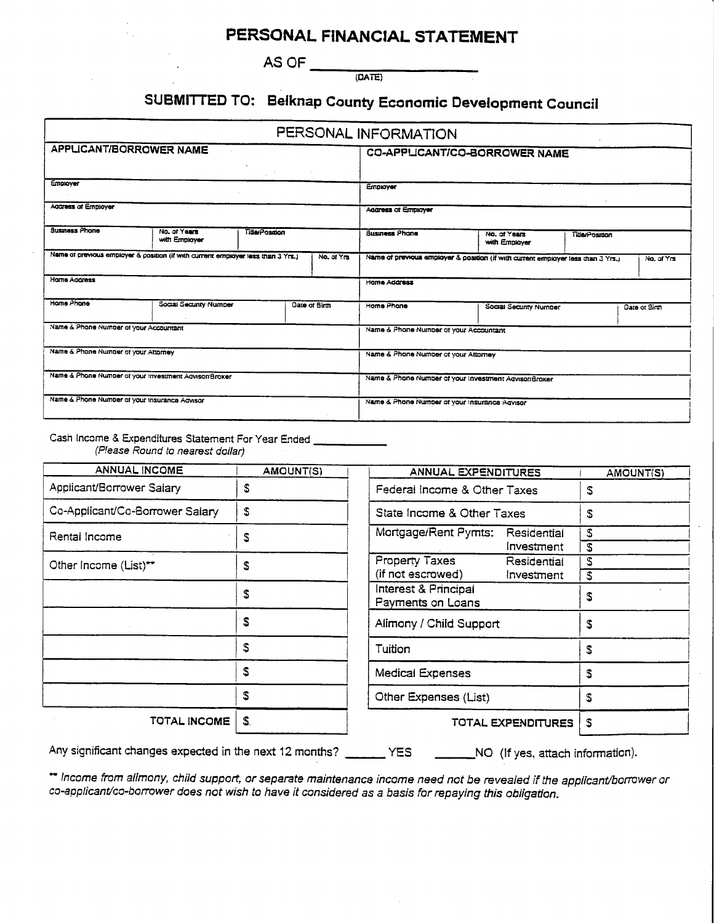### PERSONAL FINANCIAL STATEMENT

AS OF  $\frac{1}{(DATE)}$ 

# SUBMITTED TO: Belknap County Economic Development Council

|                                                       |                                                                                  |                                        |                                                       | PERSONAL INFORMATION                          |                                                                                  |                       |               |
|-------------------------------------------------------|----------------------------------------------------------------------------------|----------------------------------------|-------------------------------------------------------|-----------------------------------------------|----------------------------------------------------------------------------------|-----------------------|---------------|
| <b>APPLICANT/BORROWER NAME</b>                        |                                                                                  |                                        | <b>CO-APPLICANT/CO-BORROWER NAME</b>                  |                                               |                                                                                  |                       |               |
| Employer                                              |                                                                                  |                                        | Employer                                              |                                               |                                                                                  |                       |               |
| Address of Employer                                   |                                                                                  |                                        |                                                       | <b>Address of Employer</b>                    |                                                                                  |                       |               |
| <b>Susmess Phone</b>                                  | No. of Years<br>with Employer                                                    | <b>TitleyPosition</b>                  |                                                       | Business Phone                                | No. of Years<br>with Employer                                                    | <b>Title/Position</b> |               |
|                                                       | Name of previous employer & position (if with current employer less than 3 Yrs.) |                                        | No. of Yrs                                            |                                               | Name of previous employer & position (if with current employer less than 3 Yrs.) |                       | No. of Yrs    |
| Home Address                                          |                                                                                  | Home Address                           |                                                       |                                               |                                                                                  |                       |               |
| Home Phone                                            | Social Security Number                                                           |                                        | Date of Birth                                         | Home Phone                                    | Social Security Number                                                           |                       | Date of Birth |
| Name & Phone Number of your Accountant                |                                                                                  | Name & Phone Number of your Accountant |                                                       |                                               |                                                                                  |                       |               |
| Name & Phone Number of your Attorney                  |                                                                                  | Name & Phone Number of your Attorney   |                                                       |                                               |                                                                                  |                       |               |
| Name & Phone Number of your investment Advisor/Broker |                                                                                  |                                        | Name & Phone Number of your Investment Advisor/Broker |                                               |                                                                                  |                       |               |
| Name & Phone Number of your Insurance Advisor         |                                                                                  |                                        |                                                       | Name & Phone Number of your Insurance Advisor |                                                                                  |                       |               |

Cash Income & Expenditures Statement For Year Ended

(Please Round to nearest dollar)

| <b>ANNUAL INCOME</b>            | AMOUNT(S) |          |
|---------------------------------|-----------|----------|
| Applicant/Borrower Salary       | S         | ۴        |
| Co-Applicant/Co-Borrower Salary | S         | S        |
| Rental Income                   | S         | M        |
| Other Income (List)**           | S         | P<br>(ii |
|                                 | S         | Iг<br>P  |
|                                 | S         | A        |
|                                 | S         | T        |
|                                 | S         | M        |
|                                 | S         | O        |
| TOTAL INCOME                    | S         |          |

| ANNUAL EXPENDITURES                  | <b>AMOUNT(S)</b> |   |
|--------------------------------------|------------------|---|
| Federal Income & Other Taxes         | S                |   |
| State Income & Other Taxes           | S                |   |
| Mortgage/Rent Pymts:<br>Residential  | S                |   |
|                                      | investment       | S |
| <b>Property Taxes</b><br>Residential | S                |   |
| (if not escrowed)                    | Investment       | S |
| Interest & Principal                 | S                |   |
| Payments on Loans                    |                  |   |
| Alimony / Child Support              | S                |   |
| Tuition                              | \$               |   |
| Medical Expenses                     | S                |   |
| Other Expenses (List)                | S                |   |
| TOTAL EXPENDITURES                   | S                |   |

Any significant changes expected in the next 12 months? \_\_\_\_\_\_ YES \_\_\_\_\_\_\_NO (If yes, attach information).

\*\* Income from alimony, child support, or separate maintenance income need not be revealed if the applicant/borrower or co-applicant/co-borrower does not wish to have it considered as a basis for repaying this obligation.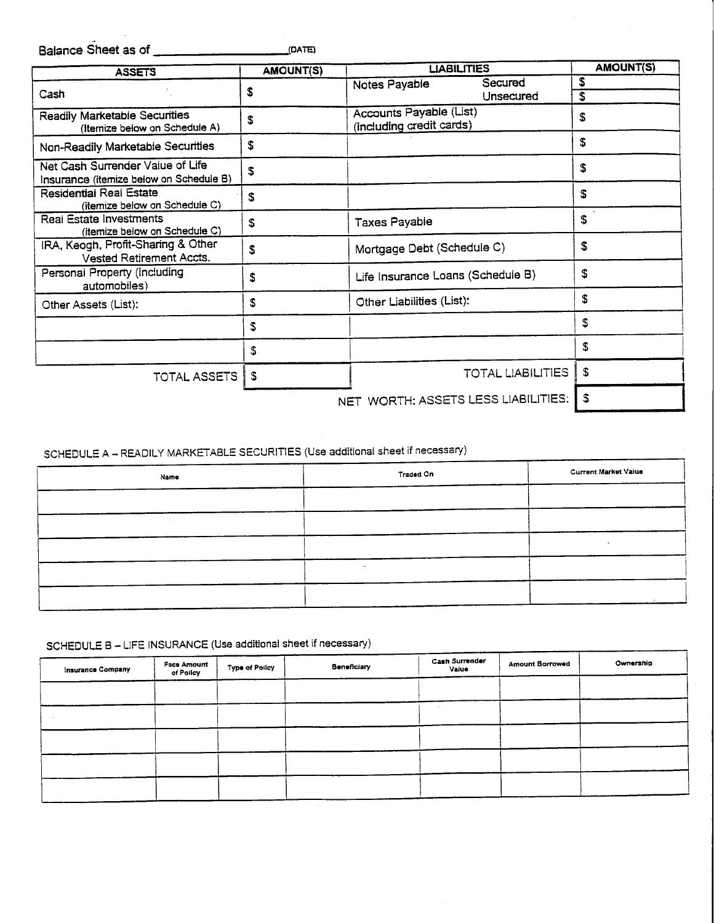| <b>ASSETS</b>                                                               | <b>AMOUNT(S)</b> | <b>LIABILITIES</b>                                  | <b>AMOUNT(S)</b>         |          |
|-----------------------------------------------------------------------------|------------------|-----------------------------------------------------|--------------------------|----------|
| Cash                                                                        | \$               | Notes Payable                                       | Secured<br>Unsecured     | \$<br>\$ |
| <b>Readily Marketable Securities</b><br>(Itemize below on Schedule A)       | S                | Accounts Payable (List)<br>(including credit cards) |                          | \$       |
| Non-Readily Marketable Securities                                           | \$               |                                                     |                          | \$       |
| Net Cash Surrender Value of Life<br>Insurance (itemize below on Schedule B) | \$               |                                                     |                          | \$       |
| Residential Real Estate<br>(itemize below on Schedule C)                    | \$               |                                                     |                          | \$       |
| Real Estate Investments<br>(itemize below on Schedule C)                    | \$               | <b>Taxes Payable</b>                                |                          | \$       |
| IRA, Keogh, Profit-Sharing & Other<br><b>Vested Retirement Accts.</b>       | \$               | Mortgage Debt (Schedule C)                          |                          | \$       |
| Personal Property (including<br>automobiles)                                | \$               | Life Insurance Loans (Schedule B)                   |                          | \$       |
| Other Assets (List):                                                        | S                | Other Liabilities (List):                           |                          | S        |
|                                                                             | \$               |                                                     |                          | \$       |
|                                                                             | S                |                                                     |                          | \$       |
| TOTAL ASSETS                                                                | S                |                                                     | <b>TOTAL LIABILITIES</b> | S        |
|                                                                             |                  | NET WORTH: ASSETS LESS LIABILITIES:                 |                          | S        |

SCHEDULE A - READILY MARKETABLE SECURITIES (Use additional sheet if necessary)

| Name | <b>Traded On</b> | <b>Current Market Value</b> |
|------|------------------|-----------------------------|
|      |                  |                             |
|      |                  |                             |
|      |                  |                             |
|      | $\sim$           |                             |
|      |                  |                             |
|      |                  |                             |

## SCHEDULE B - LIFE INSURANCE (Use additional sheet if necessary)

| <b>Insurance Company</b> | Face Amount<br>of Policy | <b>Type of Policy</b> | <b>Beneficiary</b> | <b>Cash Surrender</b><br>Value | <b>Amount Borrowed</b> | Ownership |
|--------------------------|--------------------------|-----------------------|--------------------|--------------------------------|------------------------|-----------|
|                          |                          |                       |                    |                                |                        |           |
|                          |                          |                       |                    |                                |                        |           |
|                          |                          |                       |                    |                                |                        |           |
|                          |                          |                       |                    |                                |                        |           |
|                          |                          |                       |                    |                                |                        |           |
|                          |                          |                       |                    |                                |                        |           |